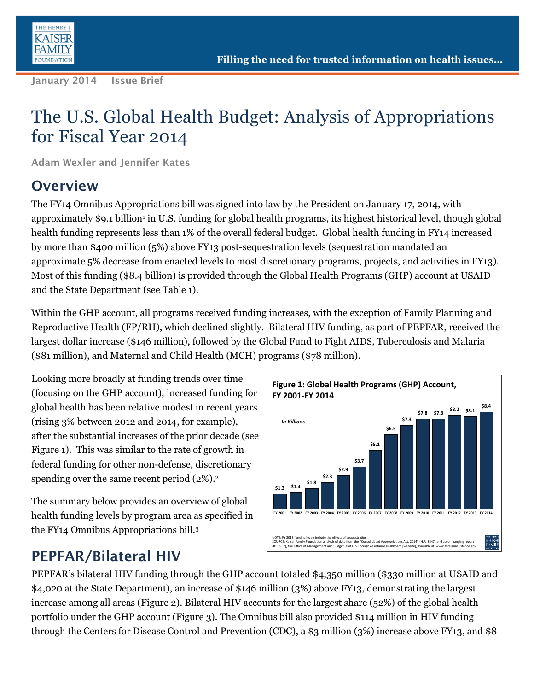

**January 2014 | Issue Brief**

# The U.S. Global Health Budget: Analysis of Appropriations for Fiscal Year 2014

**Adam Wexler and Jennifer Kates** 

#### **Overview**

The FY14 Omnibus Appropriations bill was signed into law by the President on January 17, 2014, with approximately \$9.1 billion<sup>1</sup> in U.S. funding for global health programs, its highest historical level, though global health funding represents less than 1% of the overall federal budget. Global health funding in FY14 increased by more than \$400 million (5%) above FY13 post-sequestration levels (sequestration mandated an approximate 5% decrease from enacted levels to most discretionary programs, projects, and activities in FY13). Most of this funding (\$8.4 billion) is provided through the Global Health Programs (GHP) account at USAID and the State Department (see Table 1).

Within the GHP account, all programs received funding increases, with the exception of Family Planning and Reproductive Health (FP/RH), which declined slightly. Bilateral HIV funding, as part of PEPFAR, received the largest dollar increase (\$146 million), followed by the Global Fund to Fight AIDS, Tuberculosis and Malaria (\$81 million), and Maternal and Child Health (MCH) programs (\$78 million).

Looking more broadly at funding trends over time (focusing on the GHP account), increased funding for global health has been relative modest in recent years (rising 3% between 2012 and 2014, for example), after the substantial increases of the prior decade (see Figure 1). This was similar to the rate of growth in federal funding for other non-defense, discretionary spending over the same recent period (2%). 2

The summary below provides an overview of global health funding levels by program area as specified in the FY14 Omnibus Appropriations bill.<sup>3</sup>



#### **PEPFAR/Bilateral HIV**

PEPFAR's bilateral HIV funding through the GHP account totaled \$4,350 million (\$330 million at USAID and \$4,020 at the State Department), an increase of \$146 million (3%) above FY13, demonstrating the largest increase among all areas (Figure 2). Bilateral HIV accounts for the largest share (52%) of the global health portfolio under the GHP account (Figure 3). The Omnibus bill also provided \$114 million in HIV funding through the Centers for Disease Control and Prevention (CDC), a \$3 million (3%) increase above FY13, and \$8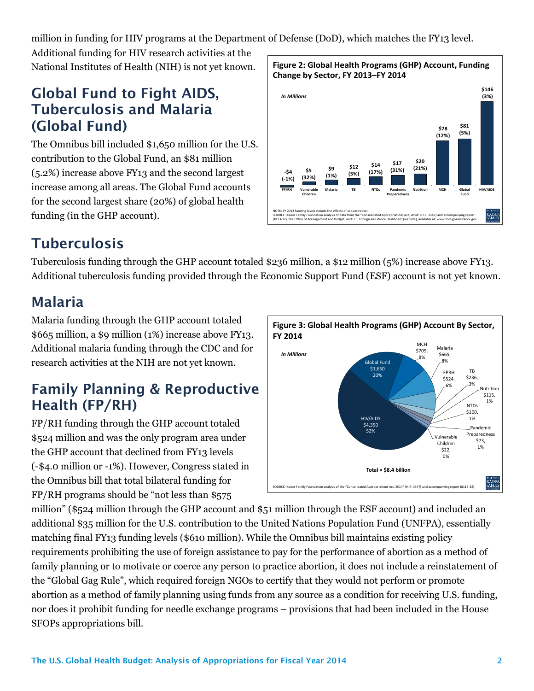million in funding for HIV programs at the Department of Defense (DoD), which matches the FY13 level.

Additional funding for HIV research activities at the National Institutes of Health (NIH) is not yet known.

#### **Global Fund to Fight AIDS, Tuberculosis and Malaria (Global Fund)**

The Omnibus bill included \$1,650 million for the U.S. contribution to the Global Fund, an \$81 million (5.2%) increase above FY13 and the second largest increase among all areas. The Global Fund accounts for the second largest share (20%) of global health funding (in the GHP account).



## **Tuberculosis**

Tuberculosis funding through the GHP account totaled \$236 million, a \$12 million (5%) increase above FY13. Additional tuberculosis funding provided through the Economic Support Fund (ESF) account is not yet known.

## **Malaria**

Malaria funding through the GHP account totaled \$665 million, a \$9 million (1%) increase above FY13. Additional malaria funding through the CDC and for research activities at the NIH are not yet known.

## **Family Planning & Reproductive Health (FP/RH)**

FP/RH funding through the GHP account totaled \$524 million and was the only program area under the GHP account that declined from FY13 levels (-\$4.0 million or -1%). However, Congress stated in the Omnibus bill that total bilateral funding for FP/RH programs should be "not less than \$575



million" (\$524 million through the GHP account and \$51 million through the ESF account) and included an additional \$35 million for the U.S. contribution to the United Nations Population Fund (UNFPA), essentially matching final FY13 funding levels (\$610 million). While the Omnibus bill maintains existing policy requirements prohibiting the use of foreign assistance to pay for the performance of abortion as a method of family planning or to motivate or coerce any person to practice abortion, it does not include a reinstatement of the "Global Gag Rule", which required foreign NGOs to certify that they would not perform or promote abortion as a method of family planning using funds from any source as a condition for receiving U.S. funding, nor does it prohibit funding for needle exchange programs – provisions that had been included in the House SFOPs appropriations bill.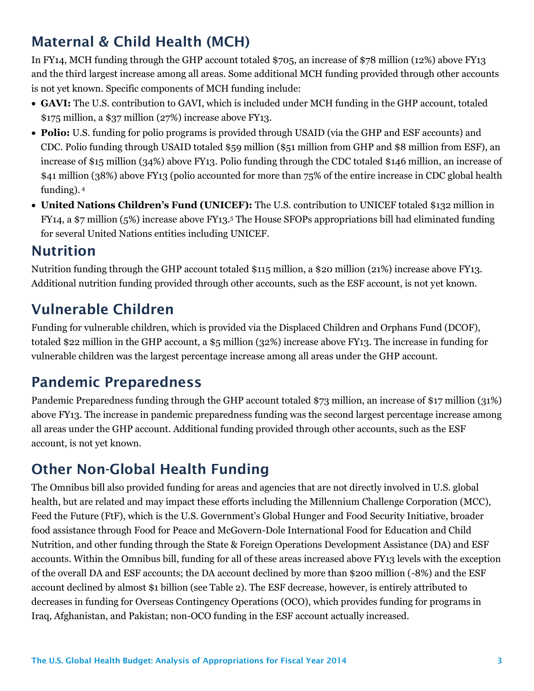## **Maternal & Child Health (MCH)**

In FY14, MCH funding through the GHP account totaled \$705, an increase of \$78 million (12%) above FY13 and the third largest increase among all areas. Some additional MCH funding provided through other accounts is not yet known. Specific components of MCH funding include:

- **GAVI:** The U.S. contribution to GAVI, which is included under MCH funding in the GHP account, totaled \$175 million, a \$37 million (27%) increase above FY13.
- **Polio:** U.S. funding for polio programs is provided through USAID (via the GHP and ESF accounts) and CDC. Polio funding through USAID totaled \$59 million (\$51 million from GHP and \$8 million from ESF), an increase of \$15 million (34%) above FY13. Polio funding through the CDC totaled \$146 million, an increase of \$41 million (38%) above FY13 (polio accounted for more than 75% of the entire increase in CDC global health funding). <sup>4</sup>
- **United Nations Children's Fund (UNICEF):** The U.S. contribution to UNICEF totaled \$132 million in FY14, a \$7 million (5%) increase above FY13.<sup>5</sup> The House SFOPs appropriations bill had eliminated funding for several United Nations entities including UNICEF.

#### **Nutrition**

Nutrition funding through the GHP account totaled \$115 million, a \$20 million (21%) increase above FY13. Additional nutrition funding provided through other accounts, such as the ESF account, is not yet known.

## **Vulnerable Children**

Funding for vulnerable children, which is provided via the Displaced Children and Orphans Fund (DCOF), totaled \$22 million in the GHP account, a \$5 million (32%) increase above FY13. The increase in funding for vulnerable children was the largest percentage increase among all areas under the GHP account.

### **Pandemic Preparedness**

Pandemic Preparedness funding through the GHP account totaled \$73 million, an increase of \$17 million (31%) above FY13. The increase in pandemic preparedness funding was the second largest percentage increase among all areas under the GHP account. Additional funding provided through other accounts, such as the ESF account, is not yet known.

## **Other Non-Global Health Funding**

The Omnibus bill also provided funding for areas and agencies that are not directly involved in U.S. global health, but are related and may impact these efforts including the Millennium Challenge Corporation (MCC), Feed the Future (FtF), which is the U.S. Government's Global Hunger and Food Security Initiative, broader food assistance through Food for Peace and McGovern-Dole International Food for Education and Child Nutrition, and other funding through the State & Foreign Operations Development Assistance (DA) and ESF accounts. Within the Omnibus bill, funding for all of these areas increased above FY13 levels with the exception of the overall DA and ESF accounts; the DA account declined by more than \$200 million (-8%) and the ESF account declined by almost \$1 billion (see Table 2). The ESF decrease, however, is entirely attributed to decreases in funding for Overseas Contingency Operations (OCO), which provides funding for programs in Iraq, Afghanistan, and Pakistan; non-OCO funding in the ESF account actually increased.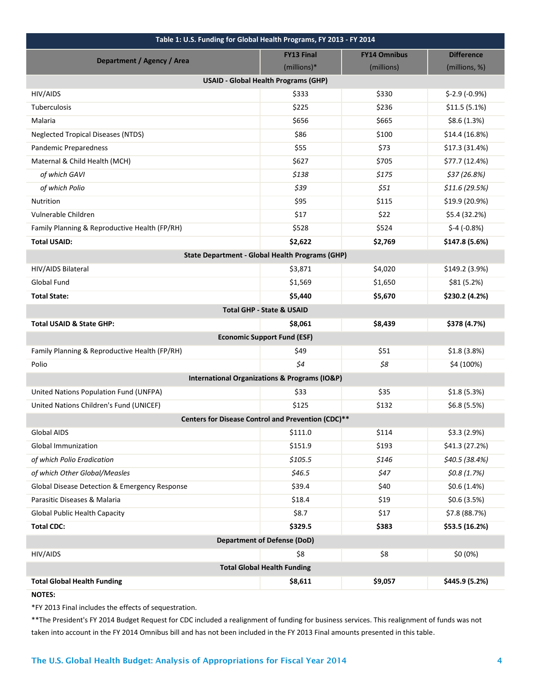| Table 1: U.S. Funding for Global Health Programs, FY 2013 - FY 2014 |                   |                     |                   |  |
|---------------------------------------------------------------------|-------------------|---------------------|-------------------|--|
| Department / Agency / Area                                          | <b>FY13 Final</b> | <b>FY14 Omnibus</b> | <b>Difference</b> |  |
|                                                                     | (millions)*       | (millions)          | (millions, %)     |  |
| <b>USAID - Global Health Programs (GHP)</b>                         |                   |                     |                   |  |
| HIV/AIDS                                                            | \$333             | \$330               | $$-2.9(-0.9%)$    |  |
| Tuberculosis                                                        | \$225             | \$236               | \$11.5(5.1%)      |  |
| Malaria                                                             | \$656             | \$665               | \$8.6(1.3%)       |  |
| <b>Neglected Tropical Diseases (NTDS)</b>                           | \$86              | \$100               | \$14.4 (16.8%)    |  |
| Pandemic Preparedness                                               | \$55              | \$73                | \$17.3 (31.4%)    |  |
| Maternal & Child Health (MCH)                                       | \$627             | \$705               | \$77.7 (12.4%)    |  |
| of which GAVI                                                       | \$138             | \$175               | \$37(26.8%)       |  |
| of which Polio                                                      | \$39              | \$51                | \$11.6 (29.5%)    |  |
| Nutrition                                                           | \$95              | \$115               | \$19.9 (20.9%)    |  |
| Vulnerable Children                                                 | \$17              | \$22                | \$5.4 (32.2%)     |  |
| Family Planning & Reproductive Health (FP/RH)                       | \$528             | \$524               | $$-4 (-0.8%)$     |  |
| <b>Total USAID:</b>                                                 | \$2,622           | \$2,769             | \$147.8 (5.6%)    |  |
| <b>State Department - Global Health Programs (GHP)</b>              |                   |                     |                   |  |
| HIV/AIDS Bilateral                                                  | \$3,871           | \$4,020             | \$149.2 (3.9%)    |  |
| Global Fund                                                         | \$1,569           | \$1,650             | \$81 (5.2%)       |  |
| <b>Total State:</b>                                                 | \$5,440           | \$5,670             | \$230.2 (4.2%)    |  |
| <b>Total GHP - State &amp; USAID</b>                                |                   |                     |                   |  |
| <b>Total USAID &amp; State GHP:</b>                                 | \$8,061           | \$8,439             | \$378 (4.7%)      |  |
| <b>Economic Support Fund (ESF)</b>                                  |                   |                     |                   |  |
| Family Planning & Reproductive Health (FP/RH)                       | \$49              | \$51                | \$1.8(3.8%)       |  |
| Polio                                                               | $\zeta$ 4         | \$8                 | \$4 (100%)        |  |
| <b>International Organizations &amp; Programs (IO&amp;P)</b>        |                   |                     |                   |  |
| United Nations Population Fund (UNFPA)                              | \$33              | \$35                | \$1.8(5.3%)       |  |
| United Nations Children's Fund (UNICEF)                             | \$125             | \$132               | \$6.8 (5.5%)      |  |
| Centers for Disease Control and Prevention (CDC)**                  |                   |                     |                   |  |
| <b>Global AIDS</b>                                                  | \$111.0           | \$114               | \$3.3(2.9%)       |  |
| <b>Global Immunization</b>                                          | \$151.9           | \$193               | \$41.3 (27.2%)    |  |
| of which Polio Eradication                                          | \$105.5           | \$146               | \$40.5(38.4%)     |  |
| of which Other Global/Measles                                       | \$46.5            | \$47                | \$0.8(1.7%)       |  |
| Global Disease Detection & Emergency Response                       | \$39.4            | \$40                | \$0.6(1.4%)       |  |
| Parasitic Diseases & Malaria                                        | \$18.4            | \$19                | \$0.6(3.5%)       |  |
| <b>Global Public Health Capacity</b>                                | \$8.7             | \$17                | $$7.8$ (88.7%)    |  |
| <b>Total CDC:</b>                                                   | \$329.5           | \$383               | \$53.5 (16.2%)    |  |
| <b>Department of Defense (DoD)</b>                                  |                   |                     |                   |  |
| HIV/AIDS                                                            | \$8               | \$8                 | \$0 (0%)          |  |
| <b>Total Global Health Funding</b>                                  |                   |                     |                   |  |
| <b>Total Global Health Funding</b>                                  | \$8,611           | \$9,057             | \$445.9 (5.2%)    |  |
|                                                                     |                   |                     |                   |  |

**NOTES:** 

\*FY 2013 Final includes the effects of sequestration.

\*\*The President's FY 2014 Budget Request for CDC included a realignment of funding for business services. This realignment of funds was not taken into account in the FY 2014 Omnibus bill and has not been included in the FY 2013 Final amounts presented in this table.